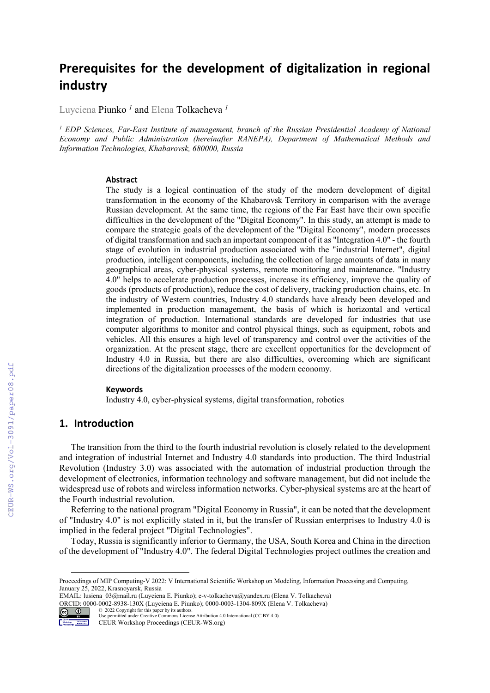# **Prerequisites for the development of digitalization in regional industry**

Luyciena Piunko<sup>1</sup> and Elena Tolkacheva<sup>1</sup>

<sup>1</sup> EDP Sciences, Far-East Institute of management, branch of the Russian Presidential Academy of National *Economy and Public Administration (hereinafter RANEPA), Department of Mathematical Methods and Information Technologies, Khabarovsk, 680000, Russia* 

#### **Abstract**

The study is a logical continuation of the study of the modern development of digital transformation in the economy of the Khabarovsk Territory in comparison with the average Russian development. At the same time, the regions of the Far East have their own specific difficulties in the development of the "Digital Economy". In this study, an attempt is made to compare the strategic goals of the development of the "Digital Economy", modern processes of digital transformation and such an important component of it as "Integration 4.0" - the fourth stage of evolution in industrial production associated with the "industrial Internet", digital production, intelligent components, including the collection of large amounts of data in many geographical areas, cyber-physical systems, remote monitoring and maintenance. "Industry 4.0" helps to accelerate production processes, increase its efficiency, improve the quality of goods (products of production), reduce the cost of delivery, tracking production chains, etc. In the industry of Western countries, Industry 4.0 standards have already been developed and implemented in production management, the basis of which is horizontal and vertical integration of production. International standards are developed for industries that use computer algorithms to monitor and control physical things, such as equipment, robots and vehicles. All this ensures a high level of transparency and control over the activities of the organization. At the present stage, there are excellent opportunities for the development of Industry 4.0 in Russia, but there are also difficulties, overcoming which are significant directions of the digitalization processes of the modern economy.

#### **Keywords 1**

Industry 4.0, cyber-physical systems, digital transformation, robotics

### **1. Introduction**

The transition from the third to the fourth industrial revolution is closely related to the development and integration of industrial Internet and Industry 4.0 standards into production. The third Industrial Revolution (Industry 3.0) was associated with the automation of industrial production through the development of electronics, information technology and software management, but did not include the widespread use of robots and wireless information networks. Cyber-physical systems are at the heart of the Fourth industrial revolution.

Referring to the national program "Digital Economy in Russia", it can be noted that the development of "Industry 4.0" is not explicitly stated in it, but the transfer of Russian enterprises to Industry 4.0 is implied in the federal project "Digital Technologies".

Today, Russia is significantly inferior to Germany, the USA, South Korea and China in the direction of the development of "Industry 4.0". The federal Digital Technologies project outlines the creation and

EMAIL: lusiena\_03@mail.ru (Luyciena E. Piunko); e-v-tolkacheva@yandex.ru (Elena V. Tolkacheva) ORCID: 0000-0002-8938-130X (Luyciena E. Piunko); 0000-0003-1304-809X (Elena V. Tolkacheva) © 2022 Copyright for this paper by its authors.



Use permitted under Creative Commons License Attribution 4.0 International (CC BY 4.0).

CEUR Workshop Proceedings (CEUR-WS.org)

Proceedings of MIP Computing-V 2022: V International Scientific Workshop on Modeling, Information Processing and Computing, January 25, 2022, Krasnoyarsk, Russia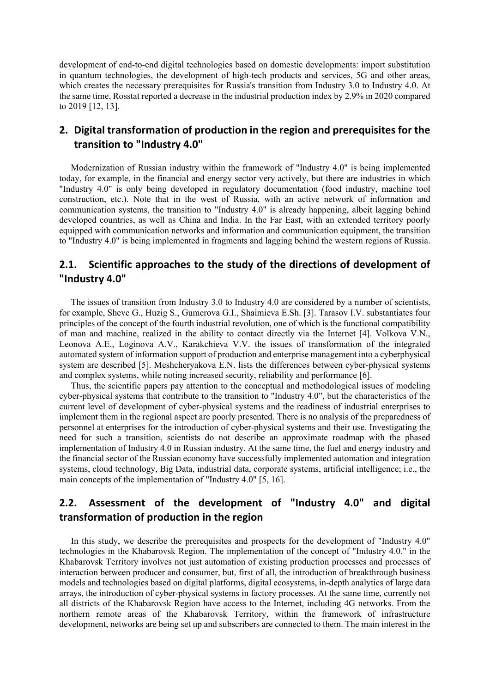development of end-to-end digital technologies based on domestic developments: import substitution in quantum technologies, the development of high-tech products and services, 5G and other areas, which creates the necessary prerequisites for Russia's transition from Industry 3.0 to Industry 4.0. At the same time, Rosstat reported a decrease in the industrial production index by 2.9% in 2020 compared to 2019 [12, 13].

## **2. Digital transformation of production in the region and prerequisites for the transition to "Industry 4.0"**

Modernization of Russian industry within the framework of "Industry 4.0" is being implemented today, for example, in the financial and energy sector very actively, but there are industries in which "Industry 4.0" is only being developed in regulatory documentation (food industry, machine tool construction, etc.). Note that in the west of Russia, with an active network of information and communication systems, the transition to "Industry 4.0" is already happening, albeit lagging behind developed countries, as well as China and India. In the Far East, with an extended territory poorly equipped with communication networks and information and communication equipment, the transition to "Industry 4.0" is being implemented in fragments and lagging behind the western regions of Russia.

### **2.1. Scientific approaches to the study of the directions of development of "Industry 4.0"**

The issues of transition from Industry 3.0 to Industry 4.0 are considered by a number of scientists, for example, Sheve G., Huzig S., Gumerova G.I., Shaimieva E.Sh. [3]. Tarasov I.V. substantiates four principles of the concept of the fourth industrial revolution, one of which is the functional compatibility of man and machine, realized in the ability to contact directly via the Internet [4]. Volkova V.N., Leonova A.E., Loginova A.V., Karakchieva V.V. the issues of transformation of the integrated automated system of information support of production and enterprise management into a cyberphysical system are described [5]. Meshcheryakova E.N. lists the differences between cyber-physical systems and complex systems, while noting increased security, reliability and performance [6].

Thus, the scientific papers pay attention to the conceptual and methodological issues of modeling cyber-physical systems that contribute to the transition to "Industry 4.0", but the characteristics of the current level of development of cyber-physical systems and the readiness of industrial enterprises to implement them in the regional aspect are poorly presented. There is no analysis of the preparedness of personnel at enterprises for the introduction of cyber-physical systems and their use. Investigating the need for such a transition, scientists do not describe an approximate roadmap with the phased implementation of Industry 4.0 in Russian industry. At the same time, the fuel and energy industry and the financial sector of the Russian economy have successfully implemented automation and integration systems, cloud technology, Big Data, industrial data, corporate systems, artificial intelligence; i.e., the main concepts of the implementation of "Industry 4.0" [5, 16].

# **2.2. Assessment of the development of "Industry 4.0" and digital transformation of production in the region**

In this study, we describe the prerequisites and prospects for the development of "Industry 4.0" technologies in the Khabarovsk Region. The implementation of the concept of "Industry 4.0." in the Khabarovsk Territory involves not just automation of existing production processes and processes of interaction between producer and consumer, but, first of all, the introduction of breakthrough business models and technologies based on digital platforms, digital ecosystems, in-depth analytics of large data arrays, the introduction of cyber-physical systems in factory processes. At the same time, currently not all districts of the Khabarovsk Region have access to the Internet, including 4G networks. From the northern remote areas of the Khabarovsk Territory, within the framework of infrastructure development, networks are being set up and subscribers are connected to them. The main interest in the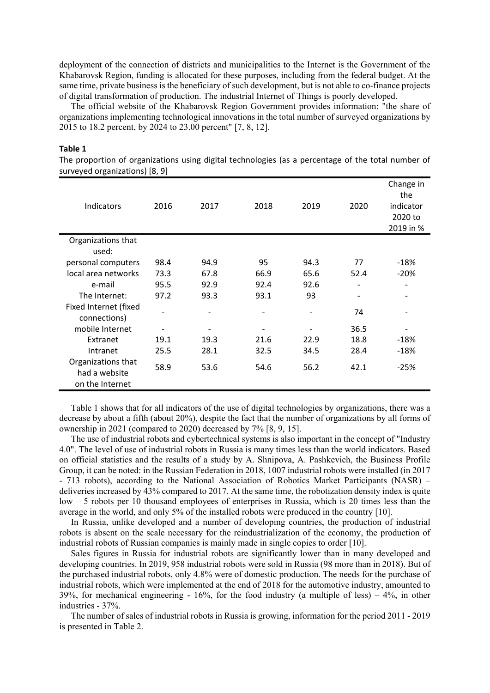deployment of the connection of districts and municipalities to the Internet is the Government of the Khabarovsk Region, funding is allocated for these purposes, including from the federal budget. At the same time, private business is the beneficiary of such development, but is not able to co-finance projects of digital transformation of production. The industrial Internet of Things is poorly developed.

The official website of the Khabarovsk Region Government provides information: "the share of organizations implementing technological innovations in the total number of surveyed organizations by 2015 to 18.2 percent, by 2024 to 23.00 percent" [7, 8, 12].

| surveyed organizations) [6, 9]        |      |      |      |      |                   |                                                       |
|---------------------------------------|------|------|------|------|-------------------|-------------------------------------------------------|
| Indicators                            | 2016 | 2017 | 2018 | 2019 | 2020              | Change in<br>the<br>indicator<br>2020 to<br>2019 in % |
| Organizations that<br>used:           |      |      |      |      |                   |                                                       |
| personal computers                    | 98.4 | 94.9 | 95   | 94.3 | 77                | $-18%$                                                |
| local area networks                   | 73.3 | 67.8 | 66.9 | 65.6 | 52.4              | $-20%$                                                |
| e-mail                                | 95.5 | 92.9 | 92.4 | 92.6 |                   |                                                       |
| The Internet:                         | 97.2 | 93.3 | 93.1 | 93   | $\qquad \qquad -$ | $\qquad \qquad \blacksquare$                          |
| Fixed Internet (fixed<br>connections) |      |      |      |      | 74                |                                                       |
| mobile Internet                       |      |      |      |      | 36.5              |                                                       |
| Extranet                              | 19.1 | 19.3 | 21.6 | 22.9 | 18.8              | $-18%$                                                |
| Intranet                              | 25.5 | 28.1 | 32.5 | 34.5 | 28.4              | $-18%$                                                |
| Organizations that<br>had a website   | 58.9 | 53.6 | 54.6 | 56.2 | 42.1              | $-25%$                                                |
| on the Internet                       |      |      |      |      |                   |                                                       |

#### **Table 1**

The proportion of organizations using digital technologies (as a percentage of the total number of  $s$ sanizations)  $[0, 0]$ 

Table 1 shows that for all indicators of the use of digital technologies by organizations, there was a decrease by about a fifth (about 20%), despite the fact that the number of organizations by all forms of ownership in 2021 (compared to 2020) decreased by 7% [8, 9, 15].

The use of industrial robots and cybertechnical systems is also important in the concept of "Industry 4.0". The level of use of industrial robots in Russia is many times less than the world indicators. Based on official statistics and the results of a study by A. Shnipova, A. Pashkevich, the Business Profile Group, it can be noted: in the Russian Federation in 2018, 1007 industrial robots were installed (in 2017 - 713 robots), according to the National Association of Robotics Market Participants (NASR) – deliveries increased by 43% compared to 2017. At the same time, the robotization density index is quite low – 5 robots per 10 thousand employees of enterprises in Russia, which is 20 times less than the average in the world, and only 5% of the installed robots were produced in the country [10].

In Russia, unlike developed and a number of developing countries, the production of industrial robots is absent on the scale necessary for the reindustrialization of the economy, the production of industrial robots of Russian companies is mainly made in single copies to order [10].

Sales figures in Russia for industrial robots are significantly lower than in many developed and developing countries. In 2019, 958 industrial robots were sold in Russia (98 more than in 2018). But of the purchased industrial robots, only 4.8% were of domestic production. The needs for the purchase of industrial robots, which were implemented at the end of 2018 for the automotive industry, amounted to 39%, for mechanical engineering - 16%, for the food industry (a multiple of less)  $-4\%$ , in other industries - 37%.

The number of sales of industrial robots in Russia is growing, information for the period 2011 - 2019 is presented in Table 2.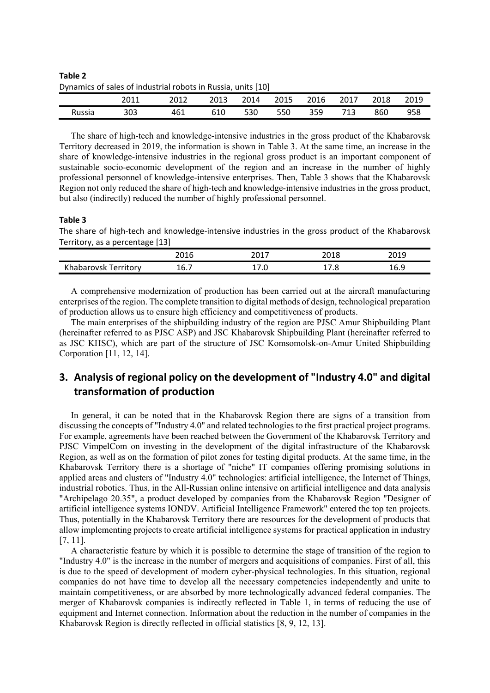**Table 2** Dynamics of sales of industrial robots in Russia, units [10]

|        | 2011 | 2012 | 2013 | 2014 | 2015 | 2016 | 2017 | 2018 | 2019 |
|--------|------|------|------|------|------|------|------|------|------|
| Russia | 303  | 461  | 610  | 530  | 550  | 359  | 713  | 860  | 958  |

The share of high-tech and knowledge-intensive industries in the gross product of the Khabarovsk Territory decreased in 2019, the information is shown in Table 3. At the same time, an increase in the share of knowledge-intensive industries in the regional gross product is an important component of sustainable socio-economic development of the region and an increase in the number of highly professional personnel of knowledge-intensive enterprises. Then, Table 3 shows that the Khabarovsk Region not only reduced the share of high-tech and knowledge-intensive industries in the gross product, but also (indirectly) reduced the number of highly professional personnel.

#### **Table 3**

The share of high‐tech and knowledge‐intensive industries in the gross product of the Khabarovsk Territory, as a percentage [13]

|                             | ว ∩ 1 C<br>2010 | ד ומר<br>∠∪⊥<br>—<br>__ | <b>CO 10</b><br>2010 | วกาก<br><b>ZU15</b> |
|-----------------------------|-----------------|-------------------------|----------------------|---------------------|
| .<br>Khabarovsk<br>erritory | ∽<br>10.7       | ں. '<br>∸′              | 17.O                 | 16<br><b>TO.J</b>   |

A comprehensive modernization of production has been carried out at the aircraft manufacturing enterprises of the region. The complete transition to digital methods of design, technological preparation of production allows us to ensure high efficiency and competitiveness of products.

The main enterprises of the shipbuilding industry of the region are PJSC Amur Shipbuilding Plant (hereinafter referred to as PJSC ASP) and JSC Khabarovsk Shipbuilding Plant (hereinafter referred to as JSC KHSC), which are part of the structure of JSC Komsomolsk-on-Amur United Shipbuilding Corporation [11, 12, 14].

# **3. Analysis of regional policy on the development of "Industry 4.0" and digital transformation of production**

In general, it can be noted that in the Khabarovsk Region there are signs of a transition from discussing the concepts of "Industry 4.0" and related technologies to the first practical project programs. For example, agreements have been reached between the Government of the Khabarovsk Territory and PJSC VimpelCom on investing in the development of the digital infrastructure of the Khabarovsk Region, as well as on the formation of pilot zones for testing digital products. At the same time, in the Khabarovsk Territory there is a shortage of "niche" IT companies offering promising solutions in applied areas and clusters of "Industry 4.0" technologies: artificial intelligence, the Internet of Things, industrial robotics. Thus, in the All-Russian online intensive on artificial intelligence and data analysis "Archipelago 20.35", a product developed by companies from the Khabarovsk Region "Designer of artificial intelligence systems IONDV. Artificial Intelligence Framework" entered the top ten projects. Thus, potentially in the Khabarovsk Territory there are resources for the development of products that allow implementing projects to create artificial intelligence systems for practical application in industry [7, 11].

A characteristic feature by which it is possible to determine the stage of transition of the region to "Industry 4.0" is the increase in the number of mergers and acquisitions of companies. First of all, this is due to the speed of development of modern cyber-physical technologies. In this situation, regional companies do not have time to develop all the necessary competencies independently and unite to maintain competitiveness, or are absorbed by more technologically advanced federal companies. The merger of Khabarovsk companies is indirectly reflected in Table 1, in terms of reducing the use of equipment and Internet connection. Information about the reduction in the number of companies in the Khabarovsk Region is directly reflected in official statistics [8, 9, 12, 13].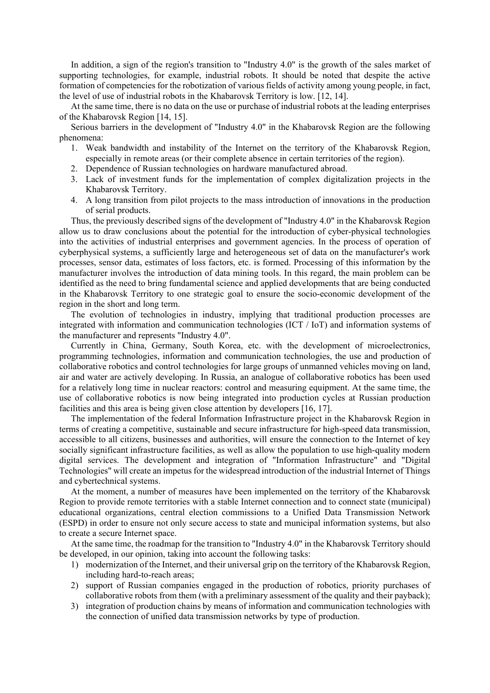In addition, a sign of the region's transition to "Industry 4.0" is the growth of the sales market of supporting technologies, for example, industrial robots. It should be noted that despite the active formation of competencies for the robotization of various fields of activity among young people, in fact, the level of use of industrial robots in the Khabarovsk Territory is low. [12, 14].

At the same time, there is no data on the use or purchase of industrial robots at the leading enterprises of the Khabarovsk Region [14, 15].

Serious barriers in the development of "Industry 4.0" in the Khabarovsk Region are the following phenomena:

- 1. Weak bandwidth and instability of the Internet on the territory of the Khabarovsk Region, especially in remote areas (or their complete absence in certain territories of the region).
- 2. Dependence of Russian technologies on hardware manufactured abroad.
- 3. Lack of investment funds for the implementation of complex digitalization projects in the Khabarovsk Territory.
- 4. A long transition from pilot projects to the mass introduction of innovations in the production of serial products.

Thus, the previously described signs of the development of "Industry 4.0" in the Khabarovsk Region allow us to draw conclusions about the potential for the introduction of cyber-physical technologies into the activities of industrial enterprises and government agencies. In the process of operation of cyberphysical systems, a sufficiently large and heterogeneous set of data on the manufacturer's work processes, sensor data, estimates of loss factors, etc. is formed. Processing of this information by the manufacturer involves the introduction of data mining tools. In this regard, the main problem can be identified as the need to bring fundamental science and applied developments that are being conducted in the Khabarovsk Territory to one strategic goal to ensure the socio-economic development of the region in the short and long term.

The evolution of technologies in industry, implying that traditional production processes are integrated with information and communication technologies (ICT / IoT) and information systems of the manufacturer and represents "Industry 4.0".

Currently in China, Germany, South Korea, etc. with the development of microelectronics, programming technologies, information and communication technologies, the use and production of collaborative robotics and control technologies for large groups of unmanned vehicles moving on land, air and water are actively developing. In Russia, an analogue of collaborative robotics has been used for a relatively long time in nuclear reactors: control and measuring equipment. At the same time, the use of collaborative robotics is now being integrated into production cycles at Russian production facilities and this area is being given close attention by developers [16, 17].

The implementation of the federal Information Infrastructure project in the Khabarovsk Region in terms of creating a competitive, sustainable and secure infrastructure for high-speed data transmission, accessible to all citizens, businesses and authorities, will ensure the connection to the Internet of key socially significant infrastructure facilities, as well as allow the population to use high-quality modern digital services. The development and integration of "Information Infrastructure" and "Digital Technologies" will create an impetus for the widespread introduction of the industrial Internet of Things and cybertechnical systems.

At the moment, a number of measures have been implemented on the territory of the Khabarovsk Region to provide remote territories with a stable Internet connection and to connect state (municipal) educational organizations, central election commissions to a Unified Data Transmission Network (ESPD) in order to ensure not only secure access to state and municipal information systems, but also to create a secure Internet space.

At the same time, the roadmap for the transition to "Industry 4.0" in the Khabarovsk Territory should be developed, in our opinion, taking into account the following tasks:

- 1) modernization of the Internet, and their universal grip on the territory of the Khabarovsk Region, including hard-to-reach areas;
- 2) support of Russian companies engaged in the production of robotics, priority purchases of collaborative robots from them (with a preliminary assessment of the quality and their payback);
- 3) integration of production chains by means of information and communication technologies with the connection of unified data transmission networks by type of production.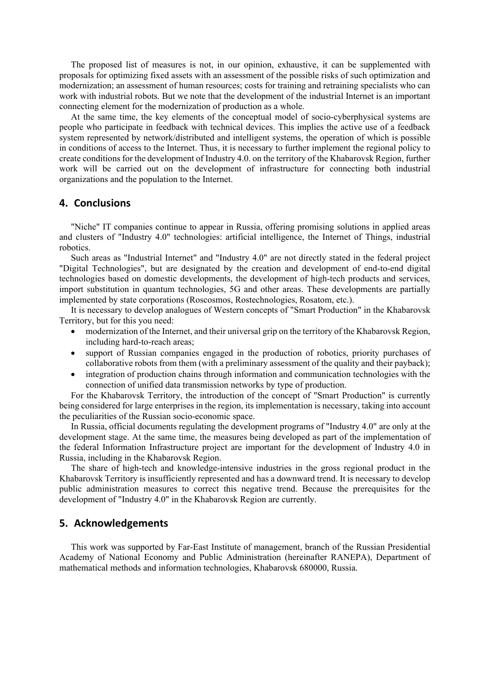The proposed list of measures is not, in our opinion, exhaustive, it can be supplemented with proposals for optimizing fixed assets with an assessment of the possible risks of such optimization and modernization; an assessment of human resources; costs for training and retraining specialists who can work with industrial robots. But we note that the development of the industrial Internet is an important connecting element for the modernization of production as a whole.

At the same time, the key elements of the conceptual model of socio-cyberphysical systems are people who participate in feedback with technical devices. This implies the active use of a feedback system represented by network/distributed and intelligent systems, the operation of which is possible in conditions of access to the Internet. Thus, it is necessary to further implement the regional policy to create conditions for the development of Industry 4.0. on the territory of the Khabarovsk Region, further work will be carried out on the development of infrastructure for connecting both industrial organizations and the population to the Internet.

#### **4. Conclusions**

"Niche" IT companies continue to appear in Russia, offering promising solutions in applied areas and clusters of "Industry 4.0" technologies: artificial intelligence, the Internet of Things, industrial robotics.

Such areas as "Industrial Internet" and "Industry 4.0" are not directly stated in the federal project "Digital Technologies", but are designated by the creation and development of end-to-end digital technologies based on domestic developments, the development of high-tech products and services, import substitution in quantum technologies, 5G and other areas. These developments are partially implemented by state corporations (Roscosmos, Rostechnologies, Rosatom, etc.).

It is necessary to develop analogues of Western concepts of "Smart Production" in the Khabarovsk Territory, but for this you need:

- modernization of the Internet, and their universal grip on the territory of the Khabarovsk Region, including hard-to-reach areas;
- support of Russian companies engaged in the production of robotics, priority purchases of collaborative robots from them (with a preliminary assessment of the quality and their payback);
- integration of production chains through information and communication technologies with the connection of unified data transmission networks by type of production.

For the Khabarovsk Territory, the introduction of the concept of "Smart Production" is currently being considered for large enterprises in the region, its implementation is necessary, taking into account the peculiarities of the Russian socio-economic space.

In Russia, official documents regulating the development programs of "Industry 4.0" are only at the development stage. At the same time, the measures being developed as part of the implementation of the federal Information Infrastructure project are important for the development of Industry 4.0 in Russia, including in the Khabarovsk Region.

The share of high-tech and knowledge-intensive industries in the gross regional product in the Khabarovsk Territory is insufficiently represented and has a downward trend. It is necessary to develop public administration measures to correct this negative trend. Because the prerequisites for the development of "Industry 4.0" in the Khabarovsk Region are currently.

### **5. Acknowledgements**

This work was supported by Far-East Institute of management, branch of the Russian Presidential Academy of National Economy and Public Administration (hereinafter RANEPA), Department of mathematical methods and information technologies, Khabarovsk 680000, Russia.